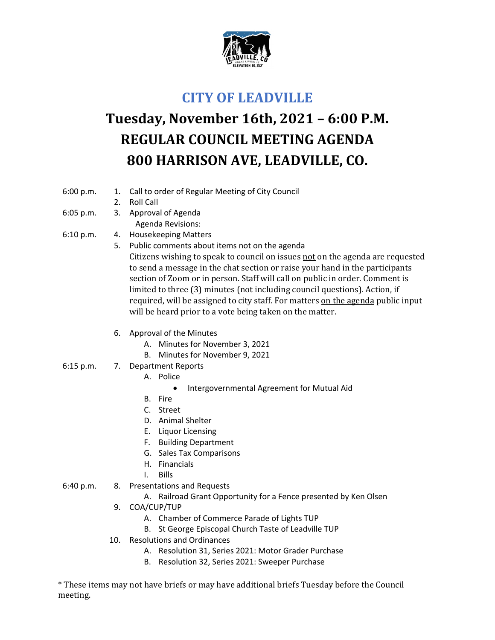

## **CITY OF LEADVILLE**

## **Tuesday, November 16th, 2021 – 6:00 P.M. REGULAR COUNCIL MEETING AGENDA 800 HARRISON AVE, LEADVILLE, CO.**

- 6:00 p.m. 1. Call to order of Regular Meeting of City Council
	- 2. Roll Call
- 6:05 p.m. 3. Approval of Agenda
	- Agenda Revisions:
- 6:10 p.m. 4. Housekeeping Matters
	- 5. Public comments about items not on the agenda Citizens wishing to speak to council on issues not on the agenda are requested to send a message in the chat section or raise your hand in the participants section of Zoom or in person. Staff will call on public in order. Comment is limited to three (3) minutes (not including council questions). Action, if required, will be assigned to city staff. For matters on the agenda public input will be heard prior to a vote being taken on the matter.
		- 6. Approval of the Minutes
			- A. Minutes for November 3, 2021
			- B. Minutes for November 9, 2021
- 6:15 p.m. 7. Department Reports
	- A. Police
		- Intergovernmental Agreement for Mutual Aid
	- B. Fire
	- C. Street
	- D. Animal Shelter
	- E. Liquor Licensing
	- F. Building Department
	- G. Sales Tax Comparisons
	- H. Financials
	- I. Bills
- 6:40 p.m. 8. Presentations and Requests
	- A. Railroad Grant Opportunity for a Fence presented by Ken Olsen
	- 9. COA/CUP/TUP
		- A. Chamber of Commerce Parade of Lights TUP
		- B. St George Episcopal Church Taste of Leadville TUP
	- 10. Resolutions and Ordinances
		- A. Resolution 31, Series 2021: Motor Grader Purchase
		- B. Resolution 32, Series 2021: Sweeper Purchase

\* These items may not have briefs or may have additional briefs Tuesday before the Council meeting.